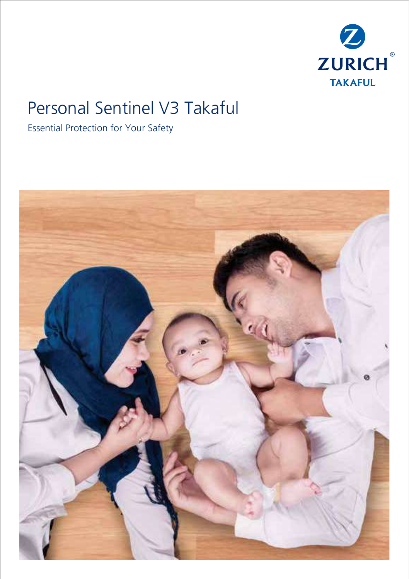

# Personal Sentinel V3 Takaful

Essential Protection for Your Safety

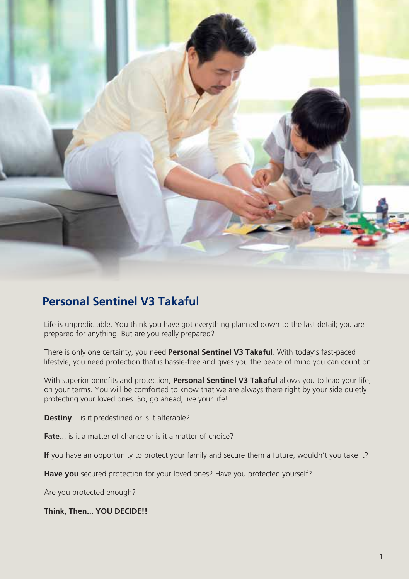

# **Personal Sentinel V3 Takaful**

Life is unpredictable. You think you have got everything planned down to the last detail; you are prepared for anything. But are you really prepared?

There is only one certainty, you need **Personal Sentinel V3 Takaful**. With today's fast-paced lifestyle, you need protection that is hassle-free and gives you the peace of mind you can count on.

With superior benefits and protection. **Personal Sentinel V3 Takaful** allows you to lead your life. on your terms. You will be comforted to know that we are always there right by your side quietly protecting your loved ones. So, go ahead, live your life!

**Destiny**... is it predestined or is it alterable?

**Fate**... is it a matter of chance or is it a matter of choice?

**If** you have an opportunity to protect your family and secure them a future, wouldn't you take it?

**Have you** secured protection for your loved ones? Have you protected yourself?

Are you protected enough?

**Think, Then... YOU DECIDE!!**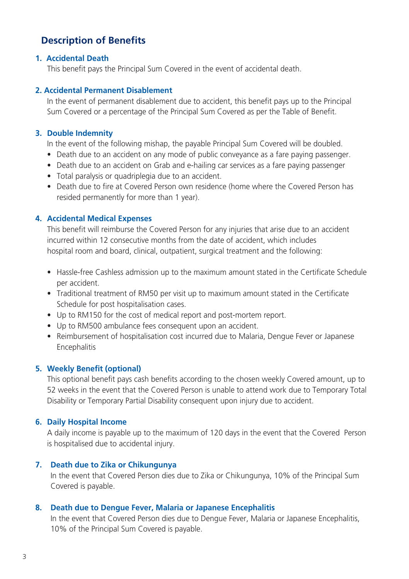## **Description of Benefits**

## **1. Accidental Death**

This benefit pays the Principal Sum Covered in the event of accidental death.

## **2. Accidental Permanent Disablement**

 In the event of permanent disablement due to accident, this benefit pays up to the Principal Sum Covered or a percentage of the Principal Sum Covered as per the Table of Benefit.

## **3. Double Indemnity**

In the event of the following mishap, the payable Principal Sum Covered will be doubled.

- Death due to an accident on any mode of public conveyance as a fare paying passenger.
- Death due to an accident on Grab and e-hailing car services as a fare paying passenger
- Total paralysis or quadriplegia due to an accident.
- Death due to fire at Covered Person own residence (home where the Covered Person has resided permanently for more than 1 year).

## **4. Accidental Medical Expenses**

 This benefit will reimburse the Covered Person for any injuries that arise due to an accident incurred within 12 consecutive months from the date of accident, which includes hospital room and board, clinical, outpatient, surgical treatment and the following:

- Hassle-free Cashless admission up to the maximum amount stated in the Certificate Schedule per accident.
- Traditional treatment of RM50 per visit up to maximum amount stated in the Certificate Schedule for post hospitalisation cases.
- Up to RM150 for the cost of medical report and post-mortem report.
- Up to RM500 ambulance fees consequent upon an accident.
- Reimbursement of hospitalisation cost incurred due to Malaria, Dengue Fever or Japanese Encephalitis

#### **5. Weekly Benefit (optional)**

 This optional benefit pays cash benefits according to the chosen weekly Covered amount, up to 52 weeks in the event that the Covered Person is unable to attend work due to Temporary Total Disability or Temporary Partial Disability consequent upon injury due to accident.

#### **6. Daily Hospital Income**

 A daily income is payable up to the maximum of 120 days in the event that the Covered Person is hospitalised due to accidental injury.

#### **7. Death due to Zika or Chikungunya**

 In the event that Covered Person dies due to Zika or Chikungunya, 10% of the Principal Sum Covered is payable.

#### **8. Death due to Dengue Fever, Malaria or Japanese Encephalitis**

 In the event that Covered Person dies due to Dengue Fever, Malaria or Japanese Encephalitis, 10% of the Principal Sum Covered is payable.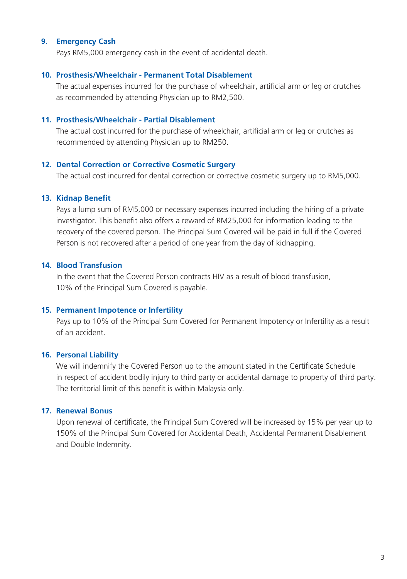## **9. Emergency Cash**

Pays RM5,000 emergency cash in the event of accidental death.

## **10. Prosthesis/Wheelchair - Permanent Total Disablement**

 The actual expenses incurred for the purchase of wheelchair, artificial arm or leg or crutches as recommended by attending Physician up to RM2,500.

#### **11. Prosthesis/Wheelchair - Partial Disablement**

 The actual cost incurred for the purchase of wheelchair, artificial arm or leg or crutches as recommended by attending Physician up to RM250.

## **12. Dental Correction or Corrective Cosmetic Surgery**

The actual cost incurred for dental correction or corrective cosmetic surgery up to RM5,000.

#### **13. Kidnap Benefit**

 Pays a lump sum of RM5,000 or necessary expenses incurred including the hiring of a private investigator. This benefit also offers a reward of RM25,000 for information leading to the recovery of the covered person. The Principal Sum Covered will be paid in full if the Covered Person is not recovered after a period of one year from the day of kidnapping.

## **14. Blood Transfusion**

 In the event that the Covered Person contracts HIV as a result of blood transfusion, 10% of the Principal Sum Covered is payable.

#### **15. Permanent Impotence or Infertility**

 Pays up to 10% of the Principal Sum Covered for Permanent Impotency or Infertility as a result of an accident.

### **16. Personal Liability**

 We will indemnify the Covered Person up to the amount stated in the Certificate Schedule in respect of accident bodily injury to third party or accidental damage to property of third party. The territorial limit of this benefit is within Malaysia only.

## **17. Renewal Bonus**

 Upon renewal of certificate, the Principal Sum Covered will be increased by 15% per year up to 150% of the Principal Sum Covered for Accidental Death, Accidental Permanent Disablement and Double Indemnity.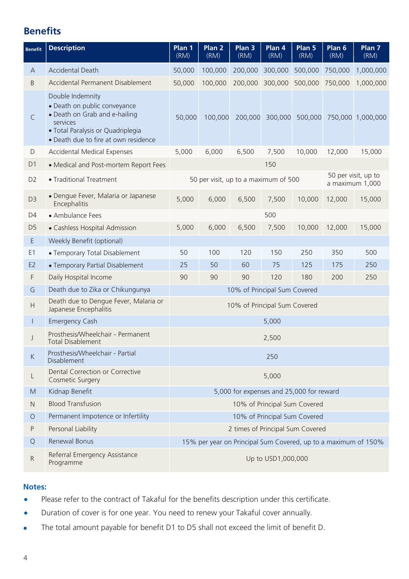# **Benefits**

| <b>Benefit</b> | <b>Description</b>                                                                                                                                                         | Plan 1<br>(RM)                                                 | Plan <sub>2</sub><br>(RM) | Plan 3<br>(RM)               | Plan 4<br>(RM) | Plan 5<br>(RM) | Plan 6<br>(RM)                         | Plan 7<br>(RM)    |
|----------------|----------------------------------------------------------------------------------------------------------------------------------------------------------------------------|----------------------------------------------------------------|---------------------------|------------------------------|----------------|----------------|----------------------------------------|-------------------|
| Α              | <b>Accidental Death</b>                                                                                                                                                    | 50,000                                                         | 100,000                   | 200,000                      | 300,000        | 500,000        | 750,000                                | 1,000,000         |
| B              | Accidental Permanent Disablement                                                                                                                                           | 50,000                                                         | 100,000                   | 200,000                      | 300,000        | 500,000        | 750,000                                | 1,000,000         |
| C              | Double Indemnity<br>· Death on public conveyance<br>• Death on Grab and e-hailing<br>services<br>· Total Paralysis or Quadriplegia<br>• Death due to fire at own residence | 50,000                                                         | 100,000                   | 200,000                      | 300,000        | 500,000        |                                        | 750,000 1,000,000 |
| D              | Accidental Medical Expenses                                                                                                                                                | 5,000                                                          | 6,000                     | 6,500                        | 7,500          | 10,000         | 12,000                                 | 15,000            |
| D <sub>1</sub> | • Medical and Post-mortem Report Fees                                                                                                                                      | 150                                                            |                           |                              |                |                |                                        |                   |
| D <sub>2</sub> | • Traditional Treatment                                                                                                                                                    | 50 per visit, up to a maximum of 500                           |                           |                              |                |                | 50 per visit, up to<br>a maximum 1,000 |                   |
| D <sub>3</sub> | · Dengue Fever, Malaria or Japanese<br>Encephalitis                                                                                                                        | 5,000                                                          | 6,000                     | 6,500                        | 7,500          | 10,000         | 12,000                                 | 15,000            |
| D4             | • Ambulance Fees                                                                                                                                                           | 500                                                            |                           |                              |                |                |                                        |                   |
| D <sub>5</sub> | • Cashless Hospital Admission                                                                                                                                              | 5,000                                                          | 6,000                     | 6,500                        | 7,500          | 10,000         | 12,000                                 | 15,000            |
| E.             | Weekly Benefit (optional)                                                                                                                                                  |                                                                |                           |                              |                |                |                                        |                   |
| E1             | • Temporary Total Disablement                                                                                                                                              | 50                                                             | 100                       | 120                          | 150            | 250            | 350                                    | 500               |
| E <sub>2</sub> | • Temporary Partial Disablement                                                                                                                                            | 25                                                             | 50                        | 60                           | 75             | 125            | 175                                    | 250               |
| F              | Daily Hospital Income                                                                                                                                                      | 90                                                             | 90                        | 90                           | 120            | 180            | 200                                    | 250               |
| G              | Death due to Zika or Chikungunya                                                                                                                                           |                                                                |                           | 10% of Principal Sum Covered |                |                |                                        |                   |
| H              | Death due to Dengue Fever, Malaria or<br>Japanese Encephalitis                                                                                                             | 10% of Principal Sum Covered                                   |                           |                              |                |                |                                        |                   |
| ı              | <b>Emergency Cash</b>                                                                                                                                                      | 5,000                                                          |                           |                              |                |                |                                        |                   |
| J              | Prosthesis/Wheelchair - Permanent<br><b>Total Disablement</b>                                                                                                              | 2,500                                                          |                           |                              |                |                |                                        |                   |
| K              | Prosthesis/Wheelchair - Partial<br><b>Disablement</b>                                                                                                                      | 250                                                            |                           |                              |                |                |                                        |                   |
| L              | Dental Correction or Corrective<br>Cosmetic Surgery                                                                                                                        | 5,000                                                          |                           |                              |                |                |                                        |                   |
| M              | Kidnap Benefit                                                                                                                                                             | 5,000 for expenses and 25,000 for reward                       |                           |                              |                |                |                                        |                   |
| N              | <b>Blood Transfusion</b>                                                                                                                                                   | 10% of Principal Sum Covered                                   |                           |                              |                |                |                                        |                   |
| $\Omega$       | Permanent Impotence or Infertility                                                                                                                                         | 10% of Principal Sum Covered                                   |                           |                              |                |                |                                        |                   |
| P              | Personal Liability                                                                                                                                                         | 2 times of Principal Sum Covered                               |                           |                              |                |                |                                        |                   |
| Q              | Renewal Bonus                                                                                                                                                              | 15% per year on Principal Sum Covered, up to a maximum of 150% |                           |                              |                |                |                                        |                   |
| R              | Referral Emergency Assistance<br>Programme                                                                                                                                 | Up to USD1,000,000                                             |                           |                              |                |                |                                        |                   |

## **Notes:**

- Please refer to the contract of Takaful for the benefits description under this certificate.  $\lambda$
- Duration of cover is for one year. You need to renew your Takaful cover annually. ċ
- The total amount payable for benefit D1 to D5 shall not exceed the limit of benefit D.  $\blacksquare$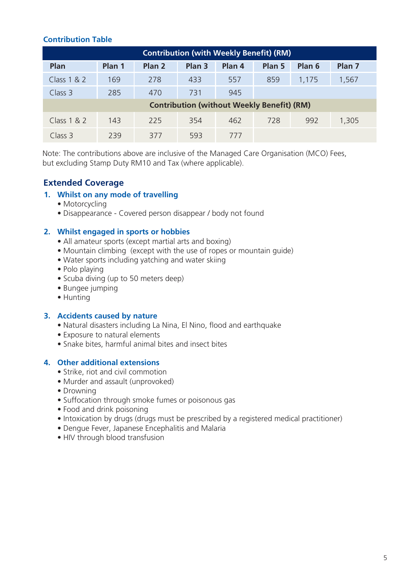## **Contribution Table**

| <b>Contribution (with Weekly Benefit) (RM)</b>    |        |                   |                   |        |        |        |                   |
|---------------------------------------------------|--------|-------------------|-------------------|--------|--------|--------|-------------------|
| Plan                                              | Plan 1 | Plan <sub>2</sub> | Plan <sub>3</sub> | Plan 4 | Plan 5 | Plan 6 | Plan <sub>7</sub> |
| Class $1 & 2$                                     | 169    | 278               | 433               | 557    | 859    | 1.175  | 1,567             |
| Class 3                                           | 285    | 470               | 731               | 945    |        |        |                   |
| <b>Contribution (without Weekly Benefit) (RM)</b> |        |                   |                   |        |        |        |                   |
| Class $1 & 2$                                     | 143    | 225               | 354               | 462    | 728    | 992    | 1,305             |
| Class 3                                           | 239    | 377               | 593               | 777    |        |        |                   |

Note: The contributions above are inclusive of the Managed Care Organisation (MCO) Fees, but excluding Stamp Duty RM10 and Tax (where applicable).

## **Extended Coverage**

## **1. Whilst on any mode of travelling**

- Motorcycling
- Disappearance Covered person disappear / body not found

## **2. Whilst engaged in sports or hobbies**

- All amateur sports (except martial arts and boxing)
- Mountain climbing (except with the use of ropes or mountain guide)
- Water sports including yatching and water skiing
- Polo playing
- Scuba diving (up to 50 meters deep)
- Bungee jumping
- Hunting

#### **3. Accidents caused by nature**

- Natural disasters including La Nina, El Nino, flood and earthquake
- Exposure to natural elements
- Snake bites, harmful animal bites and insect bites

## **4. Other additional extensions**

- Strike, riot and civil commotion
- Murder and assault (unprovoked)
- Drowning
- Suffocation through smoke fumes or poisonous gas
- Food and drink poisoning
- Intoxication by drugs (drugs must be prescribed by a registered medical practitioner)
- Dengue Fever, Japanese Encephalitis and Malaria
- HIV through blood transfusion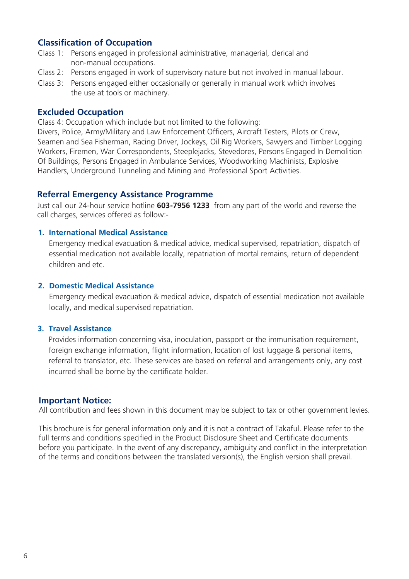## **Classification of Occupation**

- Class 1: Persons engaged in professional administrative, managerial, clerical and non-manual occupations.
- Class 2: Persons engaged in work of supervisory nature but not involved in manual labour.
- Class 3: Persons engaged either occasionally or generally in manual work which involves the use at tools or machinery.

## **Excluded Occupation**

Class 4: Occupation which include but not limited to the following:

Divers, Police, Army/Military and Law Enforcement Officers, Aircraft Testers, Pilots or Crew, Seamen and Sea Fisherman, Racing Driver, Jockeys, Oil Rig Workers, Sawyers and Timber Logging Workers, Firemen, War Correspondents, Steeplejacks, Stevedores, Persons Engaged In Demolition Of Buildings, Persons Engaged in Ambulance Services, Woodworking Machinists, Explosive Handlers, Underground Tunneling and Mining and Professional Sport Activities.

## **Referral Emergency Assistance Programme**

Just call our 24-hour service hotline **603-7956 1233** from any part of the world and reverse the call charges, services offered as follow:-

#### **1. International Medical Assistance**

Emergency medical evacuation & medical advice, medical supervised, repatriation, dispatch of essential medication not available locally, repatriation of mortal remains, return of dependent children and etc.

#### **2. Domestic Medical Assistance**

Emergency medical evacuation & medical advice, dispatch of essential medication not available locally, and medical supervised repatriation.

## **3. Travel Assistance**

Provides information concerning visa, inoculation, passport or the immunisation requirement, foreign exchange information, flight information, location of lost luggage & personal items, referral to translator, etc. These services are based on referral and arrangements only, any cost incurred shall be borne by the certificate holder.

#### **Important Notice:**

All contribution and fees shown in this document may be subject to tax or other government levies.

This brochure is for general information only and it is not a contract of Takaful. Please refer to the full terms and conditions specified in the Product Disclosure Sheet and Certificate documents before you participate. In the event of any discrepancy, ambiguity and conflict in the interpretation of the terms and conditions between the translated version(s), the English version shall prevail.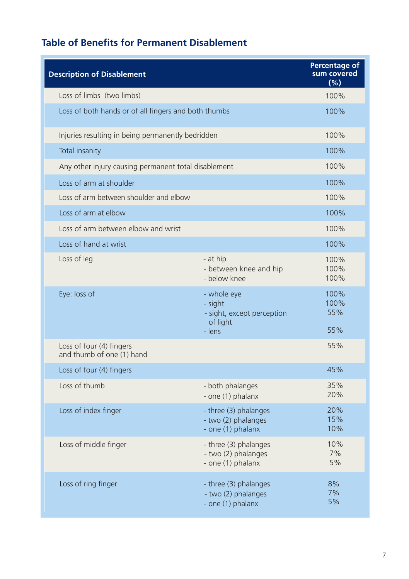# **Table of Benefits for Permanent Disablement**

| <b>Description of Disablement</b>                     | Percentage of<br>sum covered<br>(%)                                        |                            |  |  |  |
|-------------------------------------------------------|----------------------------------------------------------------------------|----------------------------|--|--|--|
| Loss of limbs (two limbs)                             |                                                                            |                            |  |  |  |
|                                                       | Loss of both hands or of all fingers and both thumbs                       |                            |  |  |  |
|                                                       | Injuries resulting in being permanently bedridden                          |                            |  |  |  |
| Total insanity                                        |                                                                            |                            |  |  |  |
| Any other injury causing permanent total disablement  |                                                                            | 100%                       |  |  |  |
| Loss of arm at shoulder                               |                                                                            | 100%                       |  |  |  |
|                                                       | Loss of arm between shoulder and elbow                                     |                            |  |  |  |
| Loss of arm at elbow                                  |                                                                            |                            |  |  |  |
| Loss of arm between elbow and wrist                   |                                                                            |                            |  |  |  |
| Loss of hand at wrist                                 |                                                                            | 100%                       |  |  |  |
| Loss of leg                                           | - at hip<br>- between knee and hip<br>- below knee                         | 100%<br>100%<br>100%       |  |  |  |
| Eye: loss of                                          | - whole eye<br>- sight<br>- sight, except perception<br>of light<br>- lens | 100%<br>100%<br>55%<br>55% |  |  |  |
| Loss of four (4) fingers<br>and thumb of one (1) hand |                                                                            | 55%                        |  |  |  |
| Loss of four (4) fingers                              |                                                                            | 45%                        |  |  |  |
| Loss of thumb                                         | - both phalanges<br>- one (1) phalanx                                      | 35%<br>20%                 |  |  |  |
| Loss of index finger                                  | - three (3) phalanges<br>- two (2) phalanges<br>- one (1) phalanx          | 20%<br>15%<br>10%          |  |  |  |
| Loss of middle finger                                 | - three (3) phalanges<br>- two (2) phalanges<br>- one (1) phalanx          | 10%<br>7%<br>5%            |  |  |  |
| Loss of ring finger                                   | - three (3) phalanges<br>- two (2) phalanges<br>- one (1) phalanx          | 8%<br>7%<br>5%             |  |  |  |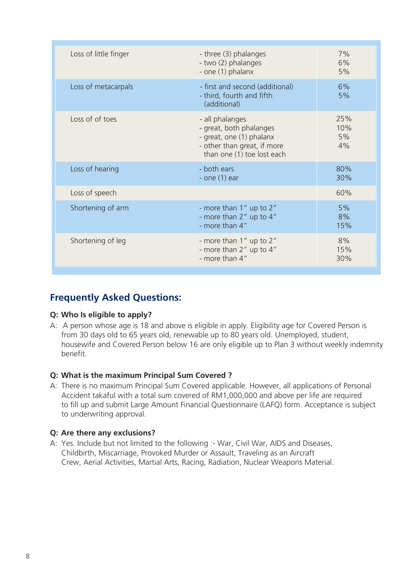| - three (3) phalanges<br>- two (2) phalanges<br>- one (1) phalanx                                                                   | 7%<br>6%<br>5%         |
|-------------------------------------------------------------------------------------------------------------------------------------|------------------------|
| - first and second (additional)<br>- third, fourth and fifth<br>(additional)                                                        | 6%<br>5%               |
| - all phalanges<br>- great, both phalanges<br>- great, one (1) phalanx<br>- other than great, if more<br>than one (1) toe lost each | 25%<br>10%<br>5%<br>4% |
| - both ears<br>- one $(1)$ ear                                                                                                      | 80%<br>30%             |
|                                                                                                                                     | 60%                    |
| - more than 1" up to 2"<br>- more than 2" up to 4"<br>- more than $4''$                                                             | 5%<br>8%<br>15%        |
| - more than 1" up to 2"<br>- more than 2" up to 4"<br>- more than 4"                                                                | 8%<br>15%<br>30%       |
|                                                                                                                                     |                        |

# **Frequently Asked Questions:**

## **Q: Who Is eligible to apply?**

A: A person whose age is 18 and above is eligible in apply. Eligibility age for Covered Person is from 30 days old to 65 years old, renewable up to 80 years old. Unemployed, student, housewife and Covered Person below 16 are only eligible up to Plan 3 without weekly indemnity benefit.

## **Q: What is the maximum Principal Sum Covered ?**

A: There is no maximum Principal Sum Covered applicable. However, all applications of Personal Accident takaful with a total sum covered of RM1,000,000 and above per life are required to fill up and submit Large Amount Financial Questionnaire (LAFQ) form. Acceptance is subject to underwriting approval.

## **Q: Are there any exclusions?**

A: Yes. Include but not limited to the following :- War, Civil War, AIDS and Diseases, Childbirth, Miscarriage, Provoked Murder or Assault, Traveling as an Aircraft Crew, Aerial Activities, Martial Arts, Racing, Radiation, Nuclear Weapons Material.